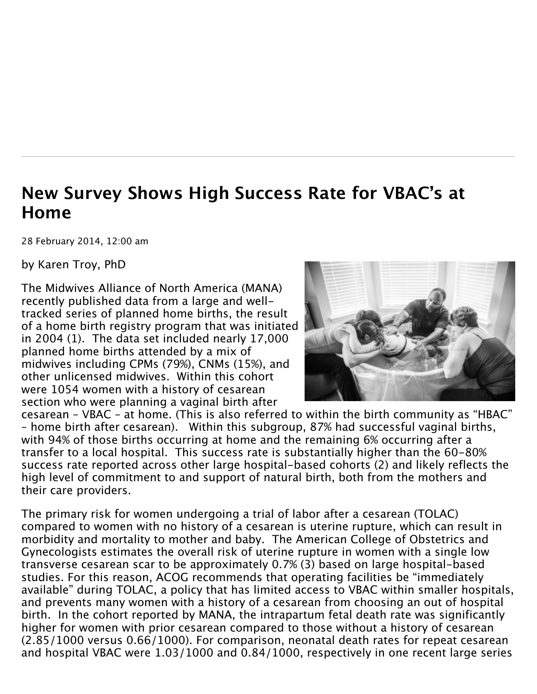## **New Survey Shows High Success Rate for VBAC's at Home**

28 February 2014, 12:00 am

by Karen Troy, PhD

The Midwives Alliance of North America (MANA) recently published data from a large and welltracked series of planned home births, the result of a home birth registry program that was initiated in 2004 (1). The data set included nearly 17,000 planned home births attended by a mix of midwives including CPMs (79%), CNMs (15%), and other unlicensed midwives. Within this cohort were 1054 women with a history of cesarean section who were planning a vaginal birth after



cesarean – VBAC – at home. (This is also referred to within the birth community as "HBAC" – home birth after cesarean). Within this subgroup, 87% had successful vaginal births, with 94% of those births occurring at home and the remaining 6% occurring after a transfer to a local hospital. This success rate is substantially higher than the 60-80% success rate reported across other large hospital-based cohorts (2) and likely reflects the high level of commitment to and support of natural birth, both from the mothers and their care providers.

The primary risk for women undergoing a trial of labor after a cesarean (TOLAC) compared to women with no history of a cesarean is uterine rupture, which can result in morbidity and mortality to mother and baby. The American College of Obstetrics and Gynecologists estimates the overall risk of uterine rupture in women with a single low transverse cesarean scar to be approximately 0.7% (3) based on large hospital-based studies. For this reason, ACOG recommends that operating facilities be "immediately available" during TOLAC, a policy that has limited access to VBAC within smaller hospitals, and prevents many women with a history of a cesarean from choosing an out of hospital birth. In the cohort reported by MANA, the intrapartum fetal death rate was significantly higher for women with prior cesarean compared to those without a history of cesarean (2.85/1000 versus 0.66/1000). For comparison, neonatal death rates for repeat cesarean and hospital VBAC were 1.03/1000 and 0.84/1000, respectively in one recent large series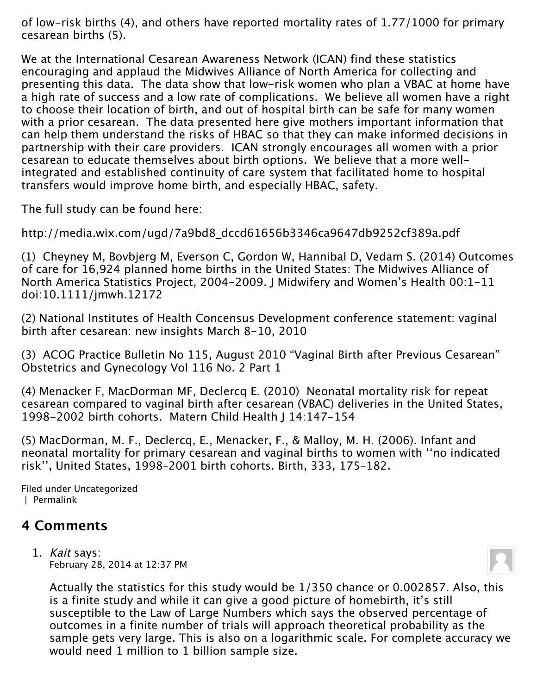of low-risk births (4), and others have reported mortality rates of 1.77/1000 for primary cesarean births (5).

We at the International Cesarean Awareness Network (ICAN) find these statistics encouraging and applaud the Midwives Alliance of North America for collecting and presenting this data. The data show that low-risk women who plan a VBAC at home have a high rate of success and a low rate of complications. We believe all women have a right to choose their location of birth, and out of hospital birth can be safe for many women with a prior cesarean. The data presented here give mothers important information that can help them understand the risks of HBAC so that they can make informed decisions in partnership with their care providers. ICAN strongly encourages all women with a prior cesarean to educate themselves about birth options. We believe that a more wellintegrated and established continuity of care system that facilitated home to hospital transfers would improve home birth, and especially HBAC, safety.

The full study can be found here:

http://media.wix.com/ugd/7a9bd8\_dccd61656b3346ca9647db9252cf389a.pdf

(1) Cheyney M, Bovbjerg M, Everson C, Gordon W, Hannibal D, Vedam S. (2014) Outcomes of care for 16,924 planned home births in the United States: The Midwives Alliance of North America Statistics Project, 2004-2009. J Midwifery and Women's Health 00:1-11 doi:10.1111/jmwh.12172

(2) National Institutes of Health Concensus Development conference statement: vaginal birth after cesarean: new insights March 8-10, 2010

(3) ACOG Practice Bulletin No 115, August 2010 "Vaginal Birth after Previous Cesarean" Obstetrics and Gynecology Vol 116 No. 2 Part 1

(4) Menacker F, MacDorman MF, Declercq E. (2010) Neonatal mortality risk for repeat cesarean compared to vaginal birth after cesarean (VBAC) deliveries in the United States, 1998-2002 birth cohorts. Matern Child Health J 14:147-154

(5) MacDorman, M. F., Declercq, E., Menacker, F., & Malloy, M. H. (2006). Infant and neonatal mortality for primary cesarean and vaginal births to women with ''no indicated risk'', United States, 1998–2001 birth cohorts. Birth, 333, 175–182.

Filed under [Uncategorized](http://blog.ican-online.org/category/uncategorized/) | [Permalink](http://blog.ican-online.org/2014/02/28/new-survey-shows-high-success-rate-for-vbacs-at-home/)

## **4 Comments**

1. Kait says: [February 28, 2014 at 12:37 PM](http://blog.ican-online.org/2014/02/28/new-survey-shows-high-success-rate-for-vbacs-at-home/comment-page-1/#comment-27696)



Actually the statistics for this study would be 1/350 chance or 0.002857. Also, this is a finite study and while it can give a good picture of homebirth, it's still susceptible to the Law of Large Numbers which says the observed percentage of outcomes in a finite number of trials will approach theoretical probability as the sample gets very large. This is also on a logarithmic scale. For complete accuracy we would need 1 million to 1 billion sample size.